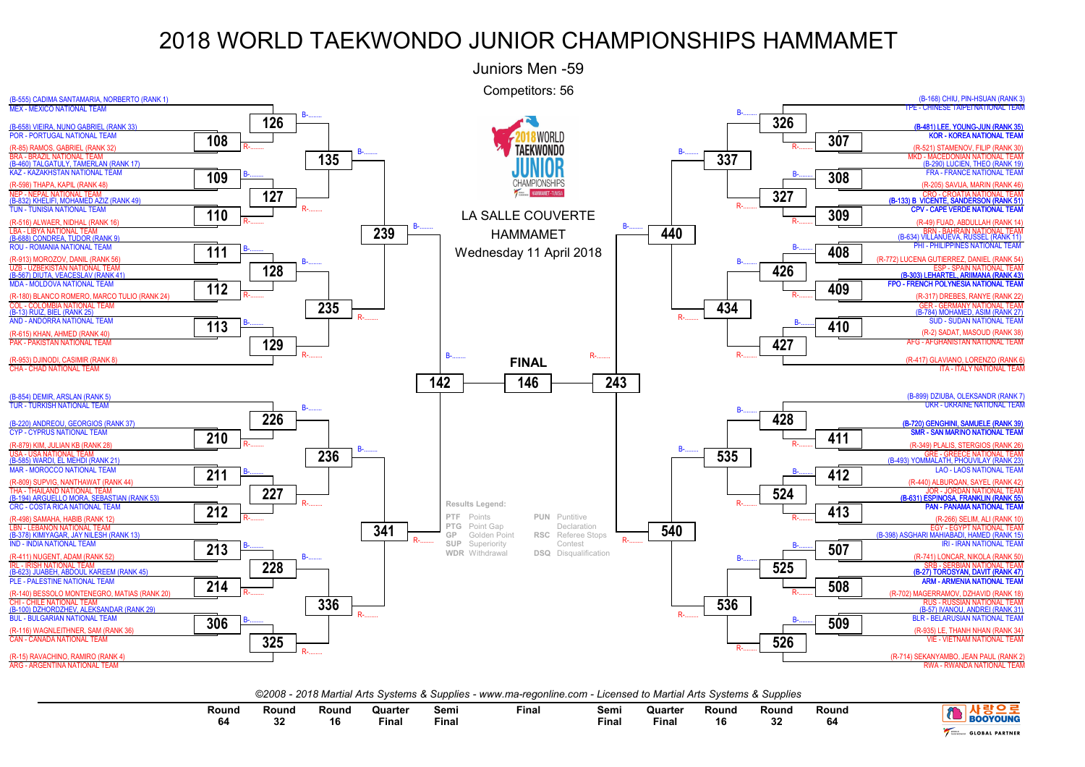

| Round<br>. | Round<br>^^<br>-- | Round<br>16 | Quarter<br>the contract of the contract of the contract of the contract of the contract of the contract of the contract of<br>Final | Semı<br>Final | Final | Sem.<br>$  -$<br>Final | Quarter<br>the contract of the contract of the contract of the contract of the contract of the contract of the contract of<br>Final | Round<br>16 | Round<br>- 22<br>ЭZ | Round<br>04 | <b>OOYOUNG</b>        |
|------------|-------------------|-------------|-------------------------------------------------------------------------------------------------------------------------------------|---------------|-------|------------------------|-------------------------------------------------------------------------------------------------------------------------------------|-------------|---------------------|-------------|-----------------------|
|            |                   |             |                                                                                                                                     |               |       |                        |                                                                                                                                     |             |                     |             | <b>GLOBAL PARTNER</b> |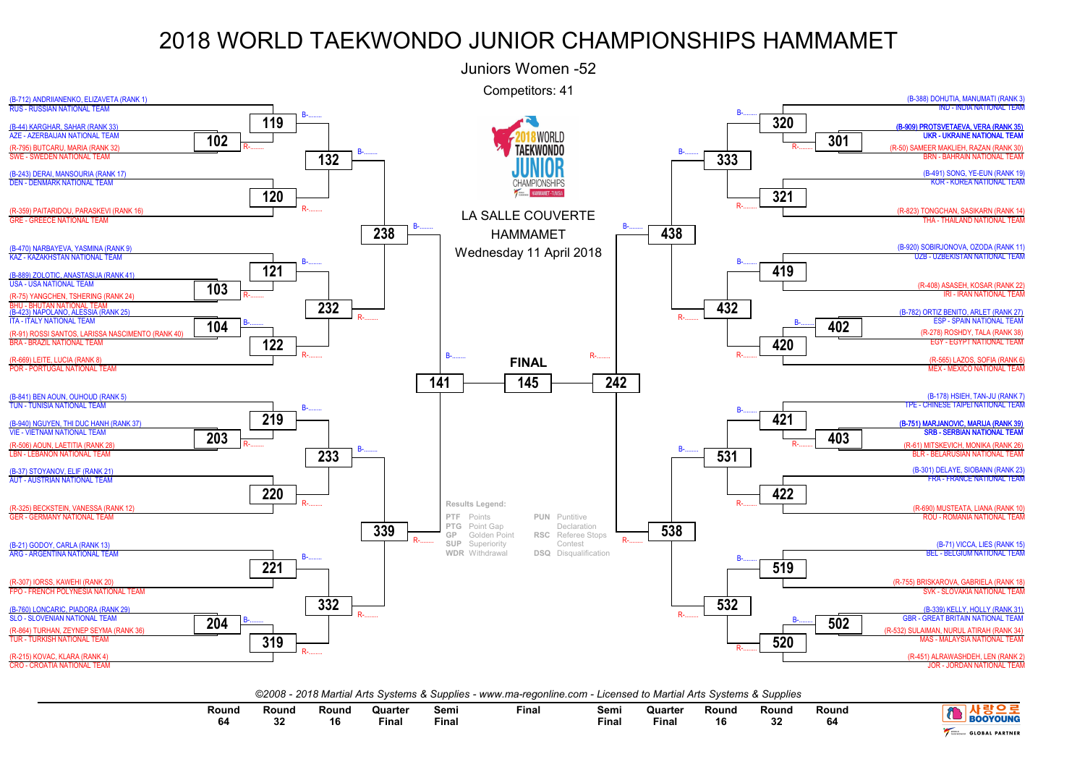

| Round | Round        | Round | Quarter | Sem   | Fina. | Semi  | Quarter | Rounc | Round     | Round |                       |
|-------|--------------|-------|---------|-------|-------|-------|---------|-------|-----------|-------|-----------------------|
|       | $\sim$<br>J۷ | 16    | Final   | Final |       | Final | Fina.   | 16    | nn.<br>JZ | 64    | <b>GLOBAL PARTNER</b> |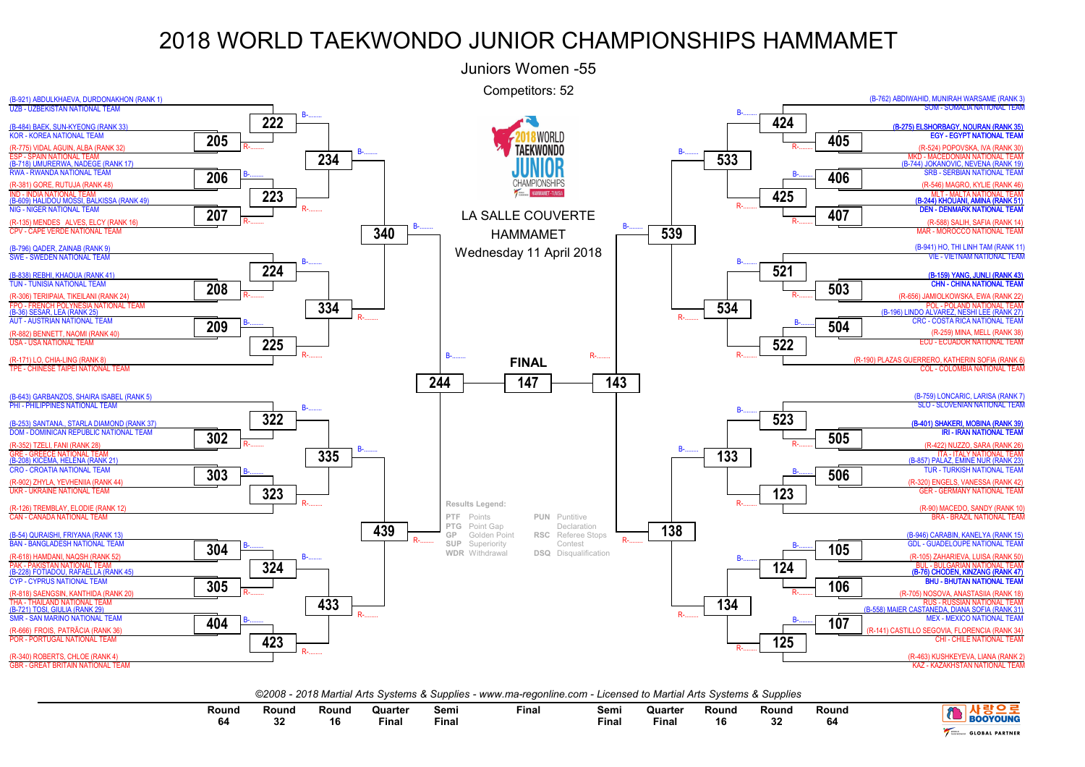

| Round<br>$\sim$ $\sim$ $\sim$<br>œ | Round<br>00<br>æ | Rounc<br>16 | Quarter<br>the contract of the contract of the contract of the contract of the contract of the contract of the contract of<br><b>Final</b> | Semı<br>Final | <b>Final</b> | Semi<br><b>Final</b> | Quarter<br>the contract of the contract of the contract of the contract of the contract of the contract of the contract of<br><b>Final</b> | Rouna<br>16 | Round<br>nn.<br>ັບ∠ | Round<br>. | YOUNG                    |
|------------------------------------|------------------|-------------|--------------------------------------------------------------------------------------------------------------------------------------------|---------------|--------------|----------------------|--------------------------------------------------------------------------------------------------------------------------------------------|-------------|---------------------|------------|--------------------------|
|                                    |                  |             |                                                                                                                                            |               |              |                      |                                                                                                                                            |             |                     |            | <b>PARTNER</b><br>GLOBAL |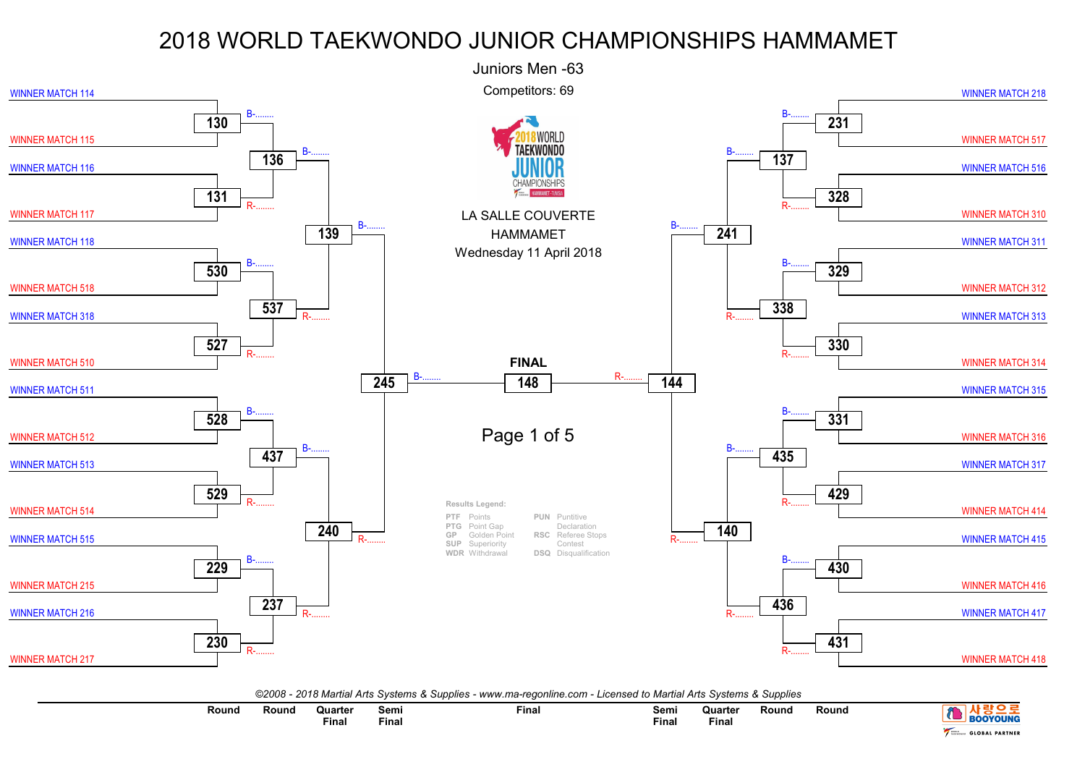

| ©2008 - 2018 Martial Arts Systems & Supplies - www.ma-regonline.com - Licensed to Martial Arts Systems & Supplies |  |  |  |  |  |  |  |  |  |
|-------------------------------------------------------------------------------------------------------------------|--|--|--|--|--|--|--|--|--|
|-------------------------------------------------------------------------------------------------------------------|--|--|--|--|--|--|--|--|--|

| Round<br>. | Round | วแarter<br>the contract of the contract of the contract of the contract of the contract of the contract of the contract of | Semi  | <b>Final</b> | Semi         | Quarter | <b>Round</b> | Round |                       |
|------------|-------|----------------------------------------------------------------------------------------------------------------------------|-------|--------------|--------------|---------|--------------|-------|-----------------------|
|            |       | Final                                                                                                                      | Fina. |              | <b>Final</b> | Fina.   |              |       | QUNG                  |
|            |       |                                                                                                                            |       |              |              |         |              |       | <b>GLOBAL PARTNER</b> |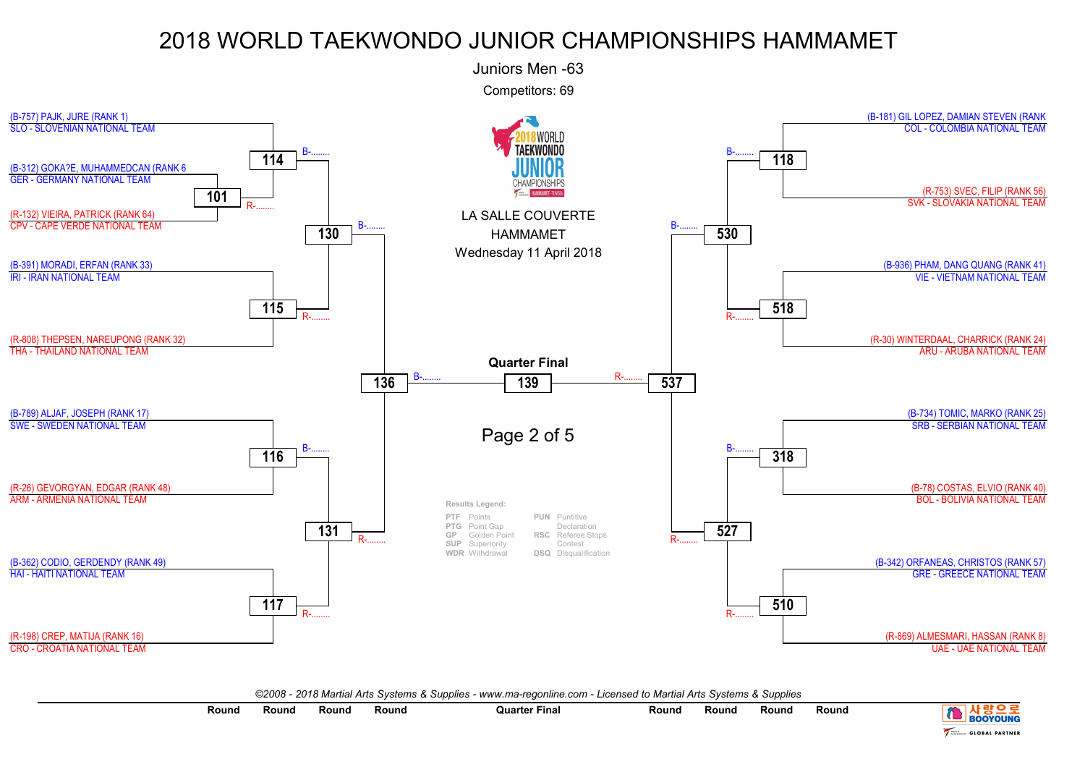

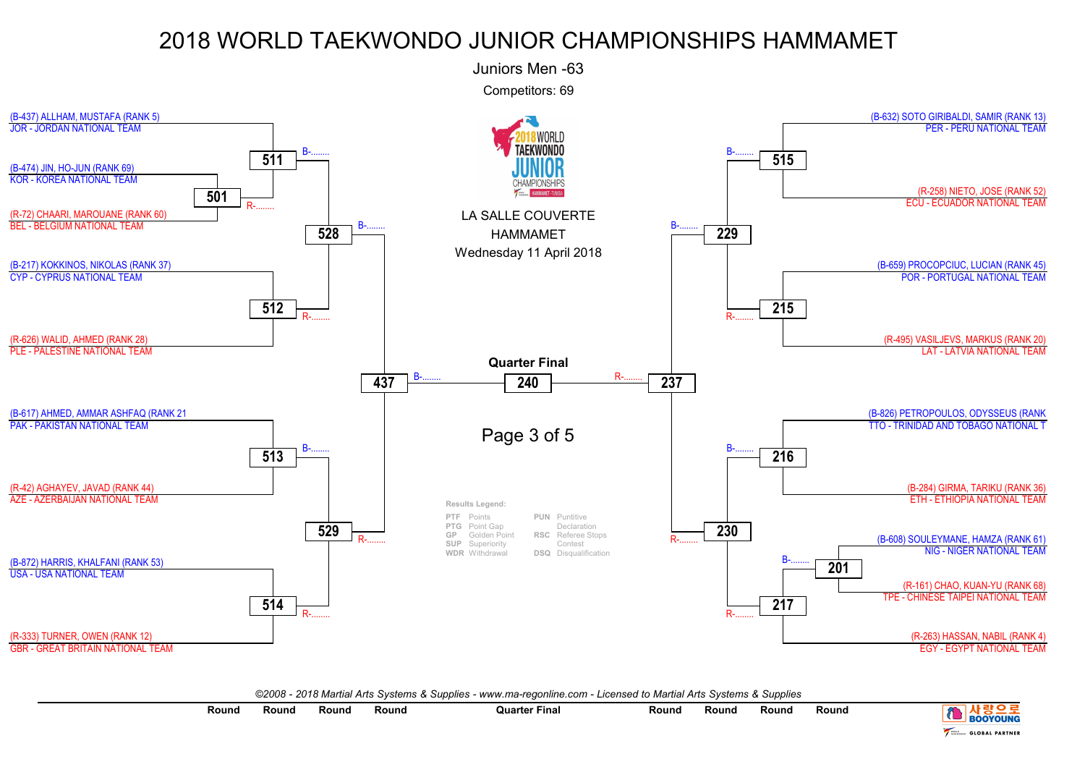

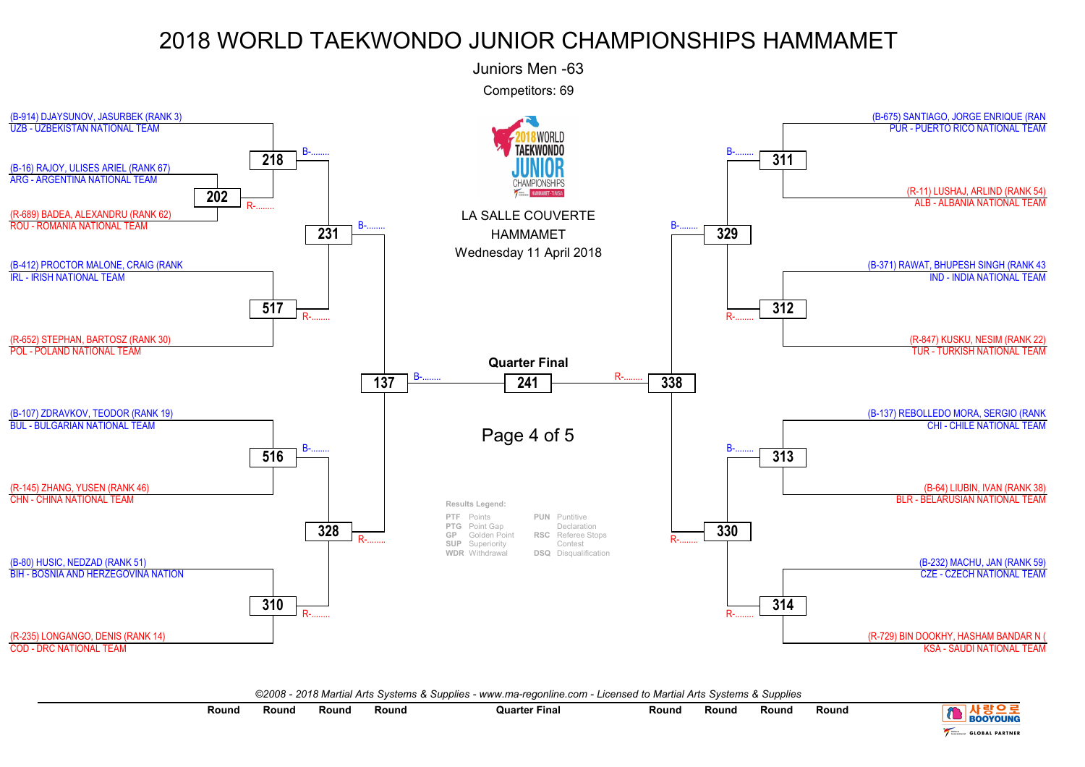